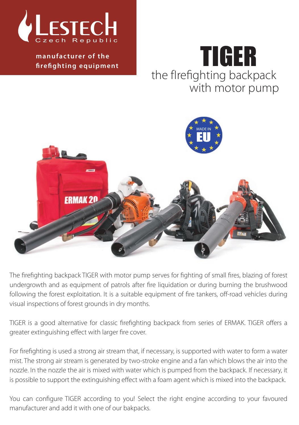

**k manufacturer of the firefighting equipment**

# TIGER the fIrefighting backpack with motor pump



The firefighting backpack TIGER with motor pump serves for fighting of small fires, blazing of forest undergrowth and as equipment of patrols after fire liquidation or during burning the brushwood following the forest exploitation. It is a suitable equipment of fire tankers, off-road vehicles during visual inspections of forest grounds in dry months.

TIGER is a good alternative for classic firefighting backpack from series of ERMAK. TIGER offers a greater extinguishing effect with larger fire cover.

For firefighting is used a strong air stream that, if necessary, is supported with water to form a water mist. The strong air stream is generated by two-stroke engine and a fan which blows the air into the nozzle. In the nozzle the air is mixed with water which is pumped from the backpack. If necessary, it is possible to support the extinguishing effect with a foam agent which is mixed into the backpack.

You can configure TIGER according to you! Select the right engine according to your favoured manufacturer and add it with one of our bakpacks.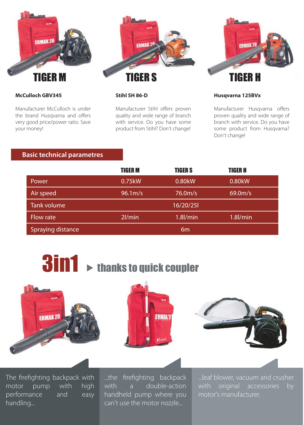

#### **McCulloch GBV345**

Manufacturer McCulloch is under the brand Husqvarna and offers very good price/power ratio. Save your money!

#### **Stihl SH 86-D**

Manufacturer Stihl offers proven quality and wide range of branch with service. Do you have some product from Stihl? Don't change!

#### **Husqvarna 125BVx**

Manufacturer Husqvarna offers proven quality and wide range of branch with service. Do you have some product from Husqvarna? Don't change!

## **Basic technical parametres**

|                          | <b>TIGER M</b> | <b>TIGERS</b>  | <b>TIGER H</b> |  |
|--------------------------|----------------|----------------|----------------|--|
| Power                    | 0.75kW         | 0.80kW         | 0.80kW         |  |
| Air speed                | 96.1 m/s       | 76.0m/s        | 69.0m/s        |  |
| <b>Tank volume</b>       |                | 16/20/25       |                |  |
| Flow rate                | $2$ /min       | $1.8$ $l/min$  | $1.8$ /min     |  |
| <b>Spraying distance</b> |                | 6 <sub>m</sub> |                |  |









The firefighting backpack with motor pump with high performance and easy handling...

...the firefighting backpack with a double-action handheld pump where you can't use the motor nozzle...

...leaf blower, vacuum and crusher with original accessories by motor's manufacturer.